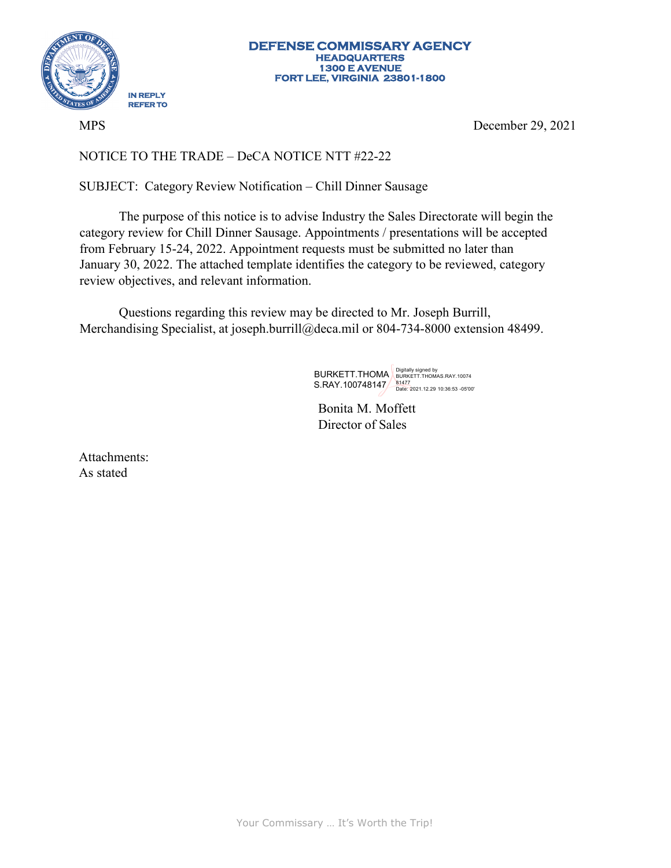

MPS

December 29, 2021

## NOTICE TO THE TRADE – DeCA NOTICE NTT #22-22

SUBJECT: Category Review Notification – Chill Dinner Sausage

The purpose of this notice is to advise Industry the Sales Directorate will begin the category review for Chill Dinner Sausage. Appointments / presentations will be accepted from February 15-24, 2022. Appointment requests must be submitted no later than January 30, 2022. The attached template identifies the category to be reviewed, category review objectives, and relevant information.

Questions regarding this review may be directed to Mr. Joseph Burrill, Merchandising Specialist, at [joseph.burrill@deca.mil](mailto:joseph.burrill@deca.mil) or 804-734-8000 extension 48499.

BURKETT.THOMA Bigitally signed by<br>S.RAY.100748147 <u>– 81477</u><br>Date: 2021.12.29 10:36:53 -05'00

Bonita M. Moffett Director of Sales

Attachments: As stated